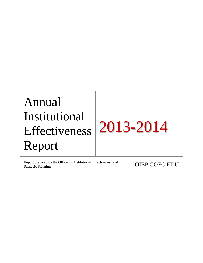Report prepared by the Office for Institutional Effectiveness and **OIEP.COFC.EDU**<br>Strategic Planning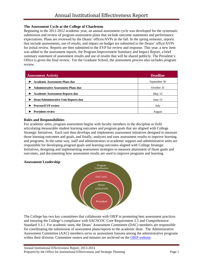### **The Assessment Cycle at the College of Charleston**

Beginning in the 2011-2012 academic year, an annual assessment cycle was developed for the systematic submission and review of program assessment plans that include outcome statements and performance expectations. Plans are reviewed by the Deans' offices/AVPs in the fall. In the spring semester, reports that include assessments, use of results, and impact on budget are submitted to the Deans' office/AVPs for initial review. Reports are then submitted to the EVP for review and response. This year, a new item was added to the assessment reports, the Program Improvement Summary and Impact Report, a brief summary statement of assessment results and use of results that will be shared publicly. The President's Office is given the final review. For the Graduate School, the assessment process also includes program review.

| <b>Assessment Activity</b>                 | <b>Deadline</b> |  |  |  |
|--------------------------------------------|-----------------|--|--|--|
| <b>Academic Assessment Plans due</b>       | September 30    |  |  |  |
| <b>Administrative Assessment Plans due</b> | October 31      |  |  |  |
| <b>Academic Assessment Reports due</b>     | May $15$        |  |  |  |
| Dean/Administrative Unit Reports due       | June $15$       |  |  |  |
| <b>Provost/EVP review</b>                  | July            |  |  |  |
| <b>President review</b>                    | August          |  |  |  |

#### **Roles and Responsibilities**

For academic units, program assessment begins with faculty members in the discipline or field articulating measurable student learning outcomes and program goals that are aligned with College Strategic Initiatives. Each unit then develops and implements assessment initiatives designed to measure those learning outcomes and goals, and finally, analyzes and uses assessment results to improve learning and programs. In the same way, staff and administrators in academic support and administrative units are responsible for developing program goals and learning outcomes aligned with College Strategic Initiatives, designing and implementing assessment strategies to measure attainment of those goals and outcomes, and documenting how assessment results are used to improve programs and learning.

#### **Assessment Leadership**



The College has two key committees that collaborate with OIEP in promoting best assessment practices and ensuring the College's compliance with SACSCOC Core Requirement 2.5 and Comprehensive Standard 3.3.1. For academic units, the Deans' Assessment Committee (DAC) members are responsible for coordinating the submission of assessment plans/reports to the academic dean. The Administrative Assessment Committee (AAC) members serve as assessment liaisons among the administrative programs within their division. Committee rosters and minutes are archived on the [OIEP website.](http://oiep.cofc.edu/assessment/oiep-committees.php)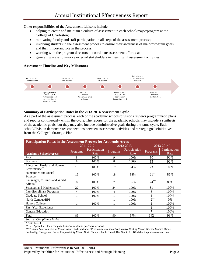Other responsibilities of the Assessment Liaisons include:

- helping to create and maintain a culture of assessment in each school/major/program at the College of Charleston;
- motivating faculty and staff participation in all steps of the assessment process;
- involving students in the assessment process to ensure their awareness of major/program goals and their important role in the process;
- working with the program directors to coordinate assessment efforts; and
- generating ways to involve external stakeholders in meaningful assessment activities.

#### **Assessment Timeline and Key Milestones**



#### **Summary of Participation Rates in the 2013-2014 Assessment Cycle**

As a part of the assessment process, each of the academic schools/divisions reviews programmatic plans and reports continuously within the cycle. The reports for the academic schools may include a synthesis of the academic goals, but they may also include administrative goals during the same cycle. Each school/division demonstrates connections between assessment activities and strategic goals/initiatives from the College's Strategic Plan.

| <b>Participation Rates in the Assessment Process for Academic Areas</b> |                 |                       |          |                       |                |                       |  |  |  |  |
|-------------------------------------------------------------------------|-----------------|-----------------------|----------|-----------------------|----------------|-----------------------|--|--|--|--|
|                                                                         |                 | 2011-2012             |          | 2012-2013             |                | 2013-2014             |  |  |  |  |
| <b>Academic Schools/Areas</b>                                           | <b>Programs</b> | Participation<br>Rate | Programs | Participation<br>Rate | Programs       | Participation<br>Rate |  |  |  |  |
| Arts <sup>®</sup>                                                       | 8               | 100%                  | 9        | 100%                  | $10^{***}$     | 90%                   |  |  |  |  |
| <b>Business</b>                                                         | 8               | 100%                  | 8        | 100%                  | $13***$        | 92%                   |  |  |  |  |
| Education, Health and Human<br>Performance                              | 18              | 100%                  | 17       | 94%                   | 23             | 100%                  |  |  |  |  |
| Humanities and Social<br>Sciences <sup>®</sup>                          | 16              | 100%                  | 18       | 94%                   | $21***$        | 86%                   |  |  |  |  |
| Languages, Cultures and World<br><b>Affairs</b>                         | 8               | 100%                  | 7        | 86%                   | $24***$        | 88%                   |  |  |  |  |
| Sciences and Mathematics**                                              | 22              | 100%                  | 24       | 100%                  | 31             | 100%                  |  |  |  |  |
| Interdisciplinary Programs                                              | 4               | 100%                  | 4        | 100%                  | 8              | 100%                  |  |  |  |  |
| Graduate School                                                         |                 | 100%                  |          | 100%                  |                | 100%                  |  |  |  |  |
| North Campus/BPS**                                                      | --              |                       |          | 100%                  | $2^{***}$      | 0%                    |  |  |  |  |
| <b>Honors College</b>                                                   |                 | 100%                  |          | 100%                  |                | 100%                  |  |  |  |  |
| First-Year Experience                                                   | --              |                       |          |                       |                | 100%                  |  |  |  |  |
| <b>General Education</b>                                                | --              |                       |          |                       | $\overline{7}$ | 100%                  |  |  |  |  |
| Total                                                                   | 86              | 100%                  | 90       | 97%                   | 142            | 93%                   |  |  |  |  |
| Source: ComplianceAssist                                                |                 |                       |          |                       |                |                       |  |  |  |  |

 $*$  As of 8/1/14

\*\* See Appendix B for a complete listing of academic programs included.

\*\*\*African American Studies Minor; Asian Studies Minor; BPS; Communications BA; Creative Writing Minor; German Studies Minor;

Leadership, Change, and Social Responsibility Minor; North Campus; Public Health BA; Studio Art BA did not report assessment data.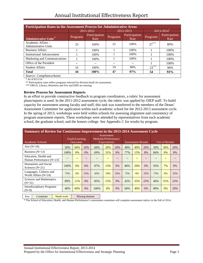| <b>Participation Rates in the Assessment Process for Administrative Areas</b> |          |                       |          |                       |                            |                       |  |  |  |  |
|-------------------------------------------------------------------------------|----------|-----------------------|----------|-----------------------|----------------------------|-----------------------|--|--|--|--|
|                                                                               |          | 2011-2012             |          | 2012-2013             | $2013 - 2014$ <sup>*</sup> |                       |  |  |  |  |
| <b>Administrative Units**</b>                                                 | Programs | Participation<br>Rate | Programs | Participation<br>Rate | Programs                   | Participation<br>Rate |  |  |  |  |
| Academic Affairs -<br><b>Administrative Units</b>                             | 25       | 100\%                 | 25       | 100\%                 | $27***$                    | 89%                   |  |  |  |  |
| <b>Business Affairs</b>                                                       |          | 100%                  |          | 100\%                 |                            | 100%                  |  |  |  |  |
| <b>Institutional Advancement</b>                                              |          | 100\%                 |          | 100%                  |                            | 100%                  |  |  |  |  |
| Marketing and Communications                                                  |          | 100\%                 |          | 100\%                 |                            | 100%                  |  |  |  |  |
| Office of the President                                                       |          |                       |          |                       |                            | 100%                  |  |  |  |  |
| <b>Student Affairs</b>                                                        | 16       | 100%                  | 19       | 90%                   | $23***$                    | 96%                   |  |  |  |  |
| <b>Total</b>                                                                  | 44       | 100%                  | 47       | 97%                   | 54                         | 93%                   |  |  |  |  |
| Source: ComplianceAssist                                                      |          |                       |          |                       |                            |                       |  |  |  |  |

 $*$  As of  $8/11/14$ 

\*\* Participation rates reflect programs selected by division heads for assessment.

\*\*\* ORGA, Library, Retention and Fire and EMS are missing.

#### **Review Process for Assessment Reports**

In an effort to provide constructive feedback to program coordinators, a rubric for assessment plans/reports is used. In the 2011-2012 assessment cycle, the rubric was applied by OIEP staff. To build capacity for assessment among faculty and staff, this task was transferred to the members of the Deans' Assessment Committee for application within each academic school for the 2012-2013 assessment cycle. In the spring of 2013, workshops were held within schools for assessing alignment and consistency of program assessment reports. These workshops were attended by representatives from each academic school, the graduate school, and the honors college. See Appendix C for results by program.

| Summary of Review for Continuous Improvement in the 2013-2014 Assessment Cycle |                                   |     |       |                                                          |     |     |                           |     |     |                |     |     |
|--------------------------------------------------------------------------------|-----------------------------------|-----|-------|----------------------------------------------------------|-----|-----|---------------------------|-----|-----|----------------|-----|-----|
| Academic Schools                                                               | Goals/Learning<br><b>Outcomes</b> |     |       | Assessment<br>Methods/Performance<br><b>Expectations</b> |     |     | <b>Assessment Results</b> |     |     | Use of Results |     |     |
| Arts $(N=10)$                                                                  | 30%                               | 60% | 10%   | 60%                                                      | 20% | 20% | 40%                       | 40% | 20% | 50%            | 30% | 20% |
| Business $(N=13)$                                                              | 100%                              | 0%  | $0\%$ | 69%                                                      | 31% | 0%  | 77%                       | 15% | 8%  | 84%            | 8%  | 8%  |
| Education, Health and<br>Human Performance (N=23) <sup>*</sup>                 |                                   |     |       |                                                          |     |     |                           | --  |     |                | --  |     |
| Humanities and Social<br>Sciences $(N=21)$                                     | 100%                              | 0%  | $0\%$ | 87%                                                      | 13% | 0%  | 80%                       | 20% | 0%  | 93%            | 7%  | 0%  |
| Languages, Cultures and<br>World Affairs $(N=24)$                              | 75%                               | 0%  | 25%   | 65%                                                      | 10% | 25% | 75%                       | 0%  | 25% | 75%            | 0%  | 25% |
| Sciences and Mathematics<br>$(N=31)$                                           | 89%                               | 11% | 0%    | 85%                                                      | 15% | 0%  | 42%                       | 35% | 23% | 46%            | 31% | 23% |
| <b>Interdisciplinary Programs</b><br>$(N=8)$                                   | 40%                               | 60% | 0%    | 100%                                                     | 0%  | 0%  | 60%                       | 40% | 0%  | 80%            | 0%  | 20% |

Key: Compliant Needs work Missing element

\* The School of Education, Health, and Human Performance's assessment committee will complete assessment rubrics in the Fall of 2014.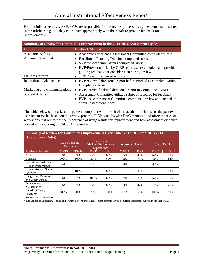For administrative areas, AVP/EVPs are responsible for the review process; using the elements presented in the rubric as a guide, they coordinate appropriately with their staff to provide feedback for improvements.

|                                                   | Summary of Review for Continuous Improvement in the 2013-2014 Assessment Cycle                                                                                                                                                                                                                             |  |  |  |  |  |  |  |  |  |
|---------------------------------------------------|------------------------------------------------------------------------------------------------------------------------------------------------------------------------------------------------------------------------------------------------------------------------------------------------------------|--|--|--|--|--|--|--|--|--|
| <b>Division</b>                                   | <b>Feedback Method</b>                                                                                                                                                                                                                                                                                     |  |  |  |  |  |  |  |  |  |
| Academic Affairs -<br><b>Administrative Units</b> | Academic Experience Assessment Committee completed rubric<br>$\bullet$<br>Enrollment Planning Division completed rubric<br>$\bullet$<br>SVP for Academic Affairs completed rubric<br>• EVP/Provost notified by OIEP reports were complete and provided<br>guiding feedback for consideration during review |  |  |  |  |  |  |  |  |  |
| <b>Business Affairs</b>                           | TLT Director reviewed with staff                                                                                                                                                                                                                                                                           |  |  |  |  |  |  |  |  |  |
| <b>Institutional Advancement</b>                  | EVP reviewed divisional report before marked as complete within<br>$\bullet$<br><b>Compliance Assist</b>                                                                                                                                                                                                   |  |  |  |  |  |  |  |  |  |
| Marketing and Communications                      | EVP entered finalized divisional report in Compliance Assist                                                                                                                                                                                                                                               |  |  |  |  |  |  |  |  |  |
| <b>Student Affairs</b>                            | Assessment Committee utilized rubric as resource for feedback<br>EVP and Assessment Committee completed review and created an<br>annual assessment report                                                                                                                                                  |  |  |  |  |  |  |  |  |  |

The table below summarizes the percent compliant within each of the academic schools for the past two assessment cycles based on the review process. OIEP consults with DAC members and offers a series of workshops that reinforces the importance of using results for improvement and how assessment evidence is used in responding to SACSCOC standards.

| Summary of Review for Continuous Improvement Over Time: 2012-2013 and 2013-2014 <sup>*</sup> |           |                                   |            |                                                                 |                           |          |                |          |  |  |  |
|----------------------------------------------------------------------------------------------|-----------|-----------------------------------|------------|-----------------------------------------------------------------|---------------------------|----------|----------------|----------|--|--|--|
| <b>(Compliance Rates)</b>                                                                    |           |                                   |            |                                                                 |                           |          |                |          |  |  |  |
|                                                                                              |           | Goals/Learning<br><b>Outcomes</b> |            | <b>Assessment</b><br>Methods/Performance<br><b>Expectations</b> | <b>Assessment Results</b> |          | Use of Results |          |  |  |  |
| Academic Schools                                                                             | $12 - 13$ | $'13-14$                          | $'12 - 13$ | $'13-14$                                                        | $12 - 13$                 | $'13-14$ | $'12 - 13$     | $'13-14$ |  |  |  |
| Arts                                                                                         | 38%       | 30%                               | 62%        | 60%                                                             | 25%                       | 40%      | 62%            | 50%      |  |  |  |
| <b>Business</b>                                                                              | 100%      | 100%                              | 57%        | 69%                                                             | 72%                       | 77%      | 86%            | 84%      |  |  |  |
| Education, Health and<br>Human Performance                                                   | 94%       |                                   | 69%        |                                                                 | 63%                       |          | 31%            |          |  |  |  |
| Humanities and Social<br>Sciences                                                            |           | 100%                              |            | 87%                                                             |                           | 80%      |                | 93%      |  |  |  |
| Languages, Cultures<br>and World Affairs                                                     | 86%       | 75%                               | 100%       | 65%                                                             | 57%                       | 75%      | 57%            | 75%      |  |  |  |
| Sciences and<br><b>Mathematics</b>                                                           | 76%       | 89%                               | 52%        | 85%                                                             | 33%                       | 42%      | 19%            | 46%      |  |  |  |
| Interdisciplinary<br>Programs                                                                | 100%      | 40%                               | 25%        | 100%                                                            | 100%                      | 60%      | 100%           | 80%      |  |  |  |
| Source: DAC Members                                                                          |           |                                   |            |                                                                 |                           |          |                |          |  |  |  |

\* The School of Education, Health, and Human Performance's assessment committee will complete assessment rubrics in the Fall of 2014.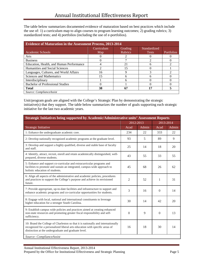The table below summarizes documented evidence of maturation based on best practices which include the use of: 1) a curriculum map to align courses to program learning outcomes; 2) grading rubrics; 3) standardized tests; and 4) portfolios (including the use of e-portfolios).

| <b>Evidence of Maturation in the Assessment Process, 2013-2014</b> |            |                |              |                   |  |  |  |  |  |  |  |
|--------------------------------------------------------------------|------------|----------------|--------------|-------------------|--|--|--|--|--|--|--|
|                                                                    | Curriculum | Grading        | Standardized |                   |  |  |  |  |  |  |  |
| Academic Schools                                                   | Map        | <b>Rubrics</b> | <b>Tests</b> | <b>Portfolios</b> |  |  |  |  |  |  |  |
| Arts                                                               |            |                |              |                   |  |  |  |  |  |  |  |
| <b>Business</b>                                                    |            |                |              |                   |  |  |  |  |  |  |  |
| Education, Health, and Human Performance                           |            | 21             |              |                   |  |  |  |  |  |  |  |
| Humanities and Social Sciences                                     |            | 15             |              |                   |  |  |  |  |  |  |  |
| Languages, Cultures, and World Affairs                             | 16         |                |              |                   |  |  |  |  |  |  |  |
| Sciences and Mathematics                                           | 15         |                |              |                   |  |  |  |  |  |  |  |
| Interdisciplinary                                                  |            |                |              |                   |  |  |  |  |  |  |  |
| <b>Bachelor of Professional Studies</b>                            |            |                |              |                   |  |  |  |  |  |  |  |
| <b>Total</b>                                                       | 38         | 67             |              |                   |  |  |  |  |  |  |  |
| Source: ComplianceAssist                                           |            |                |              |                   |  |  |  |  |  |  |  |

Unit/program goals are aligned with the College's Strategic Plan by demonstrating the strategic initiative(s) that they support. The table below summarizes the number of goals supporting each strategic initiative for the last two academic years.

| Strategic Initiatives being supported by Academic/Administrative units' Assessment Reports                                                                                                                              |                |              |           |       |
|-------------------------------------------------------------------------------------------------------------------------------------------------------------------------------------------------------------------------|----------------|--------------|-----------|-------|
|                                                                                                                                                                                                                         | 2012-2013      |              | 2013-2014 |       |
| <b>Strategic Initiative</b>                                                                                                                                                                                             | Acad           | <b>Admin</b> | Acad      | Admin |
| 1: Enhance the undergraduate academic core.                                                                                                                                                                             | 234            | 22           | 333       | 22    |
| 2: Develop nationally recognized academic programs at the graduate level.                                                                                                                                               | 93             | 5            | 89        | 9     |
| 3: Develop and support a highly qualified, diverse and stable base of faculty<br>and staff.                                                                                                                             | 25             | 14           | 18        | 20    |
| 4: Identify, attract, recruit, enroll and retain academically distinguished, well-<br>prepared, diverse students.                                                                                                       | 43             | 55           | 33        | 55    |
| 5: Enhance and support co-curricular and extracurricular programs and<br>facilities to promote and sustain an integrated, campus-wide approach to<br>holistic education of students.                                    | 45             | 68           | 26        | 62    |
| 6: Align all aspects of the administrative and academic policies, procedures<br>and practices to support the College's purpose and achieve its envisioned<br>future.                                                    | 2              | 52           | 1         | 31    |
| 7: Provide appropriate, up-to-date facilities and infrastructure to support and<br>enhance academic programs and co-curricular opportunities for students.                                                              | 3              | 16           | $\Omega$  | 14    |
| 8: Engage with local, national and international constituents to leverage<br>higher education for a stronger South Carolina.                                                                                            | 30             | 14           | 42        | 20    |
| 9: Establish campus wide policies and practices aimed at creating enhanced<br>non-state resources and promoting greater fiscal responsibility and self-<br>sufficiency.                                                 | $\overline{0}$ | 9            | $\Omega$  | 13    |
| 10: Brand the College of Charleston so that it is nationally and internationally<br>recognized for a personalized liberal arts education with specific areas of<br>distinction at the undergraduate and graduate level. | 16             | 18           | 30        | 14    |
| Source: ComplianceAssist                                                                                                                                                                                                |                |              |           |       |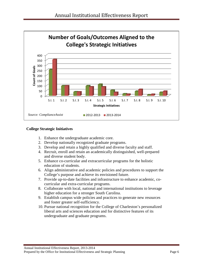

### **College Strategic Initiatives**

- 1. Enhance the undergraduate academic core.
- 2. Develop nationally recognized graduate programs.
- 3. Develop and retain a highly qualified and diverse faculty and staff.
- 4. Recruit, enroll and retain an academically distinguished, well-prepared and diverse student body.
- 5. Enhance co-curricular and extracurricular programs for the holistic education of students.
- 6. Align administrative and academic policies and procedures to support the College's purpose and achieve its envisioned future.
- 7. Provide up-to-date facilities and infrastructure to enhance academic, cocurricular and extra-curricular programs.
- 8. Collaborate with local, national and international institutions to leverage higher education for a stronger South Carolina.
- 9. Establish campus wide policies and practices to generate new resources and foster greater self-sufficiency.
- 10. Pursue national recognition for the College of Charleston's personalized liberal arts and sciences education and for distinctive features of its undergraduate and graduate programs.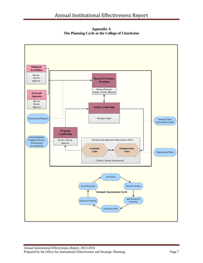**Appendix A The Planning Cycle at the College of Charleston**

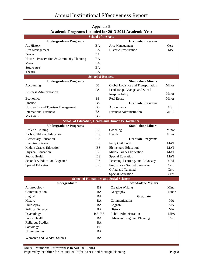|                                            | <b>School of the Arts</b> |                                                          |            |
|--------------------------------------------|---------------------------|----------------------------------------------------------|------------|
| <b>Undergraduate Programs</b>              |                           | <b>Graduate Programs</b>                                 |            |
| Art History                                | <b>BA</b>                 | Arts Management                                          | Cert       |
| Arts Management                            | <b>BA</b>                 | <b>Historic Preservation</b>                             | <b>MS</b>  |
| Dance                                      | <b>BA</b>                 |                                                          |            |
|                                            |                           |                                                          |            |
| Historic Preservation & Community Planning | <b>BA</b>                 |                                                          |            |
| Music                                      | <b>BA</b>                 |                                                          |            |
| Studio Arts                                | <b>BA</b>                 |                                                          |            |
| Theatre                                    | <b>BA</b>                 |                                                          |            |
|                                            | <b>School of Business</b> |                                                          |            |
| <b>Undergraduate Programs</b>              |                           | <b>Stand-alone Minors</b>                                |            |
| Accounting                                 | <b>BS</b>                 | Global Logistics and Transportation                      | Minor      |
| <b>Business Administration</b>             | <b>BS</b>                 | Leadership, Change, and Social                           |            |
|                                            |                           | Responsibility                                           | Minor      |
| Economics                                  | <b>BS</b>                 | <b>Real Estate</b>                                       | Minor      |
| Finance                                    | <b>BS</b>                 | <b>Graduate Programs</b>                                 |            |
| Hospitality and Tourism Management         | <b>BS</b>                 | Accountancy                                              | <b>MS</b>  |
| <b>International Business</b>              | <b>BS</b>                 | <b>Business Administration</b>                           | <b>MBA</b> |
| Marketing                                  | <b>BS</b>                 |                                                          |            |
|                                            |                           | <b>School of Education, Health and Human Performance</b> |            |
| <b>Undergraduate Programs</b>              |                           | <b>Stand-alone Minors</b>                                |            |
| <b>Athletic Training</b>                   | <b>BS</b>                 | Coaching                                                 | Minor      |
| Early Childhood Education                  | <b>BS</b>                 | Health                                                   | Minor      |
| <b>Elementary Education</b>                | <b>BS</b>                 |                                                          |            |
| <b>Exercise Science</b>                    | <b>BS</b>                 | <b>Graduate Programs</b>                                 | <b>MAT</b> |
|                                            |                           | Early Childhood                                          |            |
| Middle Grades Education                    | <b>BS</b>                 | <b>Elementary Education</b>                              | <b>MAT</b> |
| Physical Education                         | <b>BS</b>                 | Middle Grades Education                                  | <b>MAT</b> |
| Public Health                              | <b>BS</b>                 | <b>Special Education</b>                                 | <b>MAT</b> |
| Secondary Education Cognate*               | <b>BS</b>                 | Teaching, Learning, and Advocacy                         | MEd        |
| <b>Special Education</b>                   | <b>BS</b>                 | English as a Second Language                             | Cert       |
|                                            |                           | Gifted and Talented                                      | Cert       |
|                                            |                           | <b>Special Education</b>                                 | Cert       |
|                                            |                           | <b>School of Humanities and Social Sciences</b>          |            |
| Undergraduate                              |                           | <b>Stand-alone Minors</b>                                |            |
| Anthropology                               | <b>BS</b>                 | <b>Creative Writing</b>                                  | Minor      |
| Communication                              | <b>BA</b>                 | Geography                                                | Minor      |
| English                                    | <b>BA</b>                 | <b>Graduate</b>                                          |            |
| History                                    | <b>BA</b>                 | Communication                                            | MA         |
| Philosophy                                 | <b>BA</b>                 | English                                                  | MA         |
| <b>Political Science</b>                   | <b>BA</b>                 | History                                                  | MA         |
| Psychology                                 | BA, BS                    | Public Administration                                    | <b>MPA</b> |
| Public Health                              | <b>BA</b>                 | Urban and Regional Planning                              | Cert       |
| Religious Studies                          | <b>BA</b>                 |                                                          |            |
| Sociology                                  | <b>BS</b>                 |                                                          |            |
| <b>Urban Studies</b>                       | <b>BA</b>                 |                                                          |            |
|                                            |                           |                                                          |            |
| Women's and Gender Studies                 | <b>BA</b>                 |                                                          |            |

### **Appendix B Academic Programs Included for 2013-2014 Academic Year**

Annual Institutional Effectiveness Report, 2013-2014 Prepared by the Office for Institutional Effectiveness and Strategic Planning Page 8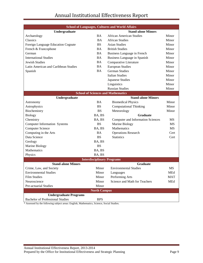| <b>School of Languages, Cultures and World Affairs</b> |                     |                                          |            |  |  |  |  |  |  |  |
|--------------------------------------------------------|---------------------|------------------------------------------|------------|--|--|--|--|--|--|--|
| Undergraduate                                          |                     | <b>Stand-alone Minors</b>                |            |  |  |  |  |  |  |  |
| Archaeology                                            | <b>BA</b>           | <b>African American Studies</b>          | Minor      |  |  |  |  |  |  |  |
| Classics                                               | <b>BA</b>           | <b>African Studies</b>                   | Minor      |  |  |  |  |  |  |  |
| Foreign Language Education Cognate                     | <b>BS</b>           | <b>Asian Studies</b>                     | Minor      |  |  |  |  |  |  |  |
| French & Francophone                                   | BA                  | <b>British Studies</b>                   | Minor      |  |  |  |  |  |  |  |
| German                                                 | <b>BA</b>           | Business Language in French              | Minor      |  |  |  |  |  |  |  |
| <b>International Studies</b>                           | <b>BA</b>           | Business Language in Spanish             | Minor      |  |  |  |  |  |  |  |
| <b>Jewish Studies</b>                                  | <b>BA</b>           | Comparative Literature                   | Minor      |  |  |  |  |  |  |  |
| Latin American and Caribbean Studies                   | <b>BA</b>           | <b>European Studies</b>                  | Minor      |  |  |  |  |  |  |  |
| Spanish                                                | <b>BA</b>           | <b>German Studies</b>                    | Minor      |  |  |  |  |  |  |  |
|                                                        |                     | <b>Italian Studies</b>                   | Minor      |  |  |  |  |  |  |  |
|                                                        |                     | Japanese Studies                         | Minor      |  |  |  |  |  |  |  |
|                                                        |                     | Linguistics                              | Minor      |  |  |  |  |  |  |  |
|                                                        |                     | <b>Russian Studies</b>                   | Minor      |  |  |  |  |  |  |  |
| <b>School of Sciences and Mathematics</b>              |                     |                                          |            |  |  |  |  |  |  |  |
| Undergraduate                                          |                     | <b>Stand-alone Minors</b>                |            |  |  |  |  |  |  |  |
| Astronomy                                              | <b>BA</b>           | <b>Biomedical Physics</b>                | Minor      |  |  |  |  |  |  |  |
| Astrophysics                                           | <b>BS</b>           | <b>Computational Thinking</b>            | Minor      |  |  |  |  |  |  |  |
| Biochemistry                                           | <b>BS</b>           | Meteorology                              | Minor      |  |  |  |  |  |  |  |
| <b>Biology</b>                                         | BA, BS              | Graduate                                 |            |  |  |  |  |  |  |  |
| Chemistry                                              | BA, BS              | <b>Computer and Information Sciences</b> | <b>MS</b>  |  |  |  |  |  |  |  |
| <b>Computer Information Systems</b>                    | <b>BS</b>           | Marine Biology                           | <b>MS</b>  |  |  |  |  |  |  |  |
| <b>Computer Science</b>                                | BA, BS              | Mathematics                              | <b>MS</b>  |  |  |  |  |  |  |  |
| Computing in the Arts                                  | <b>BA</b>           | <b>Operations Research</b>               | Cert       |  |  |  |  |  |  |  |
| Data Science                                           | <b>BS</b>           | <b>Statistics</b>                        | Cert       |  |  |  |  |  |  |  |
| Geology                                                | BA, BS              |                                          |            |  |  |  |  |  |  |  |
| Marine Biology                                         | <b>BS</b>           |                                          |            |  |  |  |  |  |  |  |
| Mathematics                                            | BA, BS              |                                          |            |  |  |  |  |  |  |  |
| Physics                                                | BA, BS              |                                          |            |  |  |  |  |  |  |  |
|                                                        |                     | <b>Interdisciplinary Programs</b>        |            |  |  |  |  |  |  |  |
| <b>Stand-alone Minors</b>                              |                     | Graduate                                 |            |  |  |  |  |  |  |  |
| Crime, Law, and Society                                | Minor               | <b>Environmental Studies</b>             | MS         |  |  |  |  |  |  |  |
| <b>Environmental Studies</b>                           | Minor               | Languages                                | MEd        |  |  |  |  |  |  |  |
| <b>Film Studies</b>                                    | Minor               | Performing Arts                          | <b>MAT</b> |  |  |  |  |  |  |  |
| Neuroscience                                           | Minor               | Science and Math for Teachers            | MEd        |  |  |  |  |  |  |  |
| Pre-actuarial Studies                                  | Minor               |                                          |            |  |  |  |  |  |  |  |
|                                                        | <b>North Campus</b> |                                          |            |  |  |  |  |  |  |  |
| <b>Undergraduate Programs</b>                          |                     |                                          |            |  |  |  |  |  |  |  |
| <b>Bachelor of Professional Studies</b>                | <b>BPS</b>          |                                          |            |  |  |  |  |  |  |  |

\* Assessed by the following subject areas: English, Mathematics, Science, Social Studies.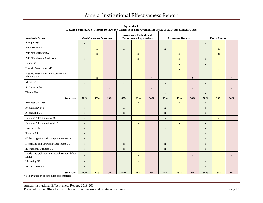| <b>Academic School</b>                                 |             | <b>Goals/Learning Outcomes</b> |             | <b>Assessment Methods and</b><br><b>Performance Expectations</b> |             |             | <b>Assessment Results</b> |              |              | <b>Use of Results</b> |             |              |
|--------------------------------------------------------|-------------|--------------------------------|-------------|------------------------------------------------------------------|-------------|-------------|---------------------------|--------------|--------------|-----------------------|-------------|--------------|
| Arts $(N=9)$ *                                         | $\mathbf X$ |                                |             | $\mathbf X$                                                      |             |             | $\mathbf X$               |              |              | $\mathbf X$           |             |              |
| Art History BA                                         |             | $\mathbf X$                    |             | $\mathbf X$                                                      |             |             | $\mathbf X$               |              |              |                       | $\mathbf X$ |              |
| Arts Management BA                                     |             | $\mathbf X$                    |             |                                                                  | $\mathbf X$ |             |                           | $\mathbf X$  |              |                       | $\mathbf X$ |              |
| Arts Management Certificate                            | $\mathbf X$ |                                |             |                                                                  | $\mathbf X$ |             |                           | $\mathbf{X}$ |              | $\mathbf X$           |             |              |
| Dance BA                                               |             | $\mathbf X$                    |             | $\mathbf X$                                                      |             |             |                           | $\mathbf X$  |              | $\mathbf X$           |             |              |
| Historic Preservation MS                               |             | $\mathbf X$                    |             | $\mathbf X$                                                      |             |             |                           | $\mathbf X$  |              |                       | $\mathbf X$ |              |
| Historic Preservation and Community<br>Planning BA     |             | $\mathbf X$                    |             |                                                                  |             | $\mathbf X$ |                           |              | $\mathbf{X}$ |                       |             | $\mathbf{X}$ |
| Music BA                                               | $\mathbf X$ |                                |             | $\mathbf X$                                                      |             |             | $\mathbf X$               |              |              | $\mathbf X$           |             |              |
| Studio Arts BA                                         |             |                                | $\mathbf X$ |                                                                  |             | $\mathbf X$ |                           |              | $\mathbf X$  |                       |             | $\mathbf X$  |
| Theatre BA                                             |             | $\mathbf X$                    |             | $\mathbf X$                                                      |             |             | $\mathbf X$               |              |              | $\mathbf X$           |             |              |
| <b>Summary</b>                                         | 30%         | 60%                            | 10%         | 60%                                                              | 20%         | 20%         | 40%                       | 40%          | 20%          | 50%                   | 30%         | 20%          |
| Business $(N=12)*$                                     |             | $\mathbf X$                    |             |                                                                  | $\mathbf X$ |             |                           | $\mathbf X$  |              | $\mathbf X$           |             |              |
| Accountancy MS                                         | $\mathbf X$ |                                |             | $\mathbf X$                                                      |             |             | $\mathbf X$               |              |              | $\mathbf X$           |             |              |
| <b>Accounting BS</b>                                   | $\mathbf X$ |                                |             | $\mathbf X$                                                      |             |             | $\mathbf X$               |              |              | $\mathbf X$           |             |              |
| <b>Business Administration BS</b>                      | $\mathbf X$ |                                |             | $\mathbf X$                                                      |             |             | $\mathbf X$               |              |              |                       | $\mathbf X$ |              |
| <b>Business Administration MBA</b>                     | $\mathbf X$ |                                |             |                                                                  | $\mathbf X$ |             |                           | $\mathbf X$  |              | $\mathbf X$           |             |              |
| Economics BS                                           | $\mathbf X$ |                                |             | $\mathbf X$                                                      |             |             | $\mathbf X$               |              |              | $\mathbf X$           |             |              |
| Finance BS                                             | $\mathbf X$ |                                |             | $\mathbf X$                                                      |             |             | $\mathbf X$               |              |              | $\mathbf X$           |             |              |
| Global Logistics and Transportation Minor              | $\mathbf X$ |                                |             | $\mathbf X$                                                      |             |             | $\mathbf X$               |              |              | $\mathbf X$           |             |              |
| Hospitality and Tourism Management BS                  | $\mathbf X$ |                                |             | $\mathbf X$                                                      |             |             | $\mathbf X$               |              |              | $\mathbf X$           |             |              |
| <b>International Business BS</b>                       | $\mathbf X$ |                                |             | $\mathbf X$                                                      |             |             | $\mathbf X$               |              |              | $\mathbf X$           |             |              |
| Leadership, Change, and Social Responsibility<br>Minor | $\mathbf X$ |                                |             |                                                                  | $\mathbf X$ |             |                           |              | $\mathbf X$  |                       |             | $\mathbf X$  |
| Marketing BS                                           | $\mathbf X$ |                                |             |                                                                  | $\mathbf X$ |             | $\mathbf X$               |              |              | $\mathbf X$           |             |              |
| Real Estate Minor                                      | $\mathbf X$ |                                |             | $\mathbf X$                                                      |             |             | $\mathbf X$               |              |              | $\mathbf X$           |             |              |
| <b>Summary</b>                                         | 100%        | 0%                             | 0%          | 69%                                                              | 31%         | 0%          | 77%                       | 15%          | 8%           | 84%                   | 8%          | 8%           |

**Appendix C Detailed Summary of Rubric Review for Continuous Improvement in the 2013-2014 Assessment Cycle**

\* Self-evaluation of school report completed.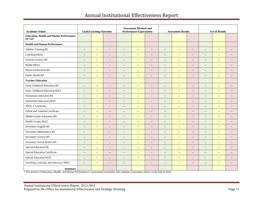| <b>Academic School</b>                                       | <b>Goals/Learning Outcomes</b> |                          |                          | <b>Assessment Methods and</b><br><b>Performance Expectations</b> |                           |                          | <b>Assessment Results</b> |                         |                          | <b>Use of Results</b>    |                          |                                                     |
|--------------------------------------------------------------|--------------------------------|--------------------------|--------------------------|------------------------------------------------------------------|---------------------------|--------------------------|---------------------------|-------------------------|--------------------------|--------------------------|--------------------------|-----------------------------------------------------|
| <b>Education, Health and Human Performance</b><br>$(N=22)^*$ |                                |                          |                          |                                                                  |                           |                          |                           |                         |                          |                          |                          |                                                     |
| <b>Health and Human Performance</b>                          |                                |                          |                          |                                                                  |                           |                          |                           |                         |                          |                          |                          |                                                     |
| <b>Athletic Training BS</b>                                  | $\overline{\phantom{a}}$       | $\overline{\phantom{a}}$ | $\sim$                   | $\sim$                                                           | $\mathbb{L}^{\mathbb{L}}$ | $\overline{\phantom{a}}$ | $\overline{\phantom{a}}$  | $\sim$ $\sim$           | $\sim$                   | $\overline{\phantom{a}}$ | $\overline{\phantom{a}}$ | $\sim$                                              |
| Coaching Minor                                               | $\overline{\phantom{a}}$       | $\overline{\phantom{a}}$ | $\overline{\phantom{a}}$ | $\overline{\phantom{a}}$                                         | $\overline{\phantom{a}}$  | $\overline{\phantom{a}}$ | $\overline{\phantom{a}}$  | $\rightarrow$           | $\overline{\phantom{a}}$ | $\overline{\phantom{a}}$ | $\overline{\phantom{a}}$ | $\overline{\phantom{a}}$                            |
| <b>Exercise Science BS</b>                                   | $\overline{\phantom{a}}$       | $\overline{\phantom{m}}$ | $\overline{\phantom{a}}$ | $\overline{\phantom{a}}$                                         | $\overline{\phantom{a}}$  | $\overline{\phantom{m}}$ | $\overline{\phantom{a}}$  | $\mathbb{L} \mathbb{L}$ | $\overline{\phantom{a}}$ | $\overline{\phantom{a}}$ | $\qquad \qquad -$        | $\overline{\phantom{a}}$                            |
| <b>Health Minor</b>                                          | $\qquad \qquad -$              | $\overline{\phantom{a}}$ | $\overline{\phantom{a}}$ | $\sim$                                                           | $-$                       | $\overline{\phantom{a}}$ | $\overline{\phantom{a}}$  | $\sim$ $\sim$           | $\overline{\phantom{a}}$ | $\overline{a}$           | $\qquad \qquad -$        | $-$                                                 |
| Physical Education BS                                        | $\overline{\phantom{a}}$       | $\overline{\phantom{a}}$ | $\overline{\phantom{a}}$ | $\overline{\phantom{a}}$                                         | $\overline{\phantom{a}}$  | $\overline{\phantom{a}}$ | $\overline{\phantom{a}}$  | $\rightarrow$           | $\overline{\phantom{a}}$ | $\overline{\phantom{a}}$ | $\qquad \qquad -$        | $\overline{\phantom{a}}$                            |
| Public Health BS                                             | $\overline{\phantom{a}}$       | $\equiv$ $\equiv$        | $\overline{a}$           | $\sim$                                                           | $\frac{1}{2}$             | $\overline{a}$           | $\overline{a}$            | $\sim$                  | $-$                      | $\overline{a}$           | $\overline{\phantom{a}}$ | $-$                                                 |
| <b>Teacher Education</b>                                     |                                |                          |                          |                                                                  |                           |                          |                           |                         |                          |                          |                          |                                                     |
| Early Childhood Education BS                                 | $\overline{\phantom{m}}$       | $\overline{\phantom{a}}$ | $\overline{\phantom{a}}$ | $\overline{\phantom{a}}$                                         | $\mathbb{L}^{\mathbb{L}}$ | $\overline{\phantom{a}}$ | $\overline{\phantom{a}}$  | $\sim$ $\sim$           | $\overline{\phantom{a}}$ | $\overline{\phantom{a}}$ | $\overline{\phantom{m}}$ | $\overline{\phantom{a}}$                            |
| Early Childhood Education MAT                                | $\overline{\phantom{a}}$       | $\overline{\phantom{a}}$ | $\overline{\phantom{a}}$ | $\overline{\phantom{a}}$                                         | $\overline{\phantom{a}}$  | $\overline{\phantom{a}}$ | $\overline{\phantom{a}}$  | $\rightarrow$           | $\overline{\phantom{a}}$ | $\overline{\phantom{a}}$ | $\overline{\phantom{a}}$ | $\overline{\phantom{a}}$                            |
| <b>Elementary Education BS</b>                               | $\overline{\phantom{a}}$       | $\overline{a}$           | $\overline{\phantom{a}}$ | $\overline{\phantom{a}}$                                         | $\mathbb{L}^{\mathbb{L}}$ | $\overline{\phantom{a}}$ | $\overline{\phantom{a}}$  | $\sim$ $\sim$           | $\overline{\phantom{a}}$ | $\overline{\phantom{a}}$ | $\mathbb{L} \mathbb{L}$  | $\sim$ $-$                                          |
| <b>Elementary Education MAT</b>                              | $\overline{\phantom{a}}$       | $\overline{\phantom{m}}$ | $\overline{\phantom{a}}$ | $\overline{\phantom{a}}$                                         | $\overline{\phantom{a}}$  | $\overline{\phantom{a}}$ | $\overline{\phantom{a}}$  | $\rightarrow$           | $\overline{\phantom{a}}$ | $\overline{\phantom{a}}$ | $\overline{\phantom{m}}$ | $\hspace{0.05cm} -\hspace{0.05cm} -\hspace{0.05cm}$ |
| ESOL 1 Certificate                                           | $-$                            | $\overline{a}$           | $\overline{\phantom{a}}$ | $\sim$                                                           | $-$                       | $\overline{\phantom{a}}$ | $\overline{a}$            | $\sim$ $\sim$           | $\sim$ $\sim$            | $\overline{a}$           | $\overline{a}$           | $\sim$                                              |
| Gifted and Talented Certificate                              | $\overline{\phantom{a}}$       | $\overline{\phantom{a}}$ | $\overline{\phantom{a}}$ | $\overline{\phantom{a}}$                                         | $\overline{\phantom{a}}$  | $\overline{\phantom{a}}$ | $\overline{\phantom{a}}$  | $\rightarrow$           | $\overline{\phantom{a}}$ | $\overline{\phantom{a}}$ | $\qquad \qquad -$        | $\overline{\phantom{a}}$                            |
| Middle Grades Education BS                                   | $\overline{\phantom{a}}$       | $\overline{\phantom{a}}$ | $\overline{\phantom{a}}$ | $\overline{\phantom{a}}$                                         | $\overline{\phantom{a}}$  | $\overline{\phantom{a}}$ | $\overline{\phantom{a}}$  | $\rightarrow$           | $\overline{\phantom{a}}$ | $\overline{\phantom{a}}$ | $\overline{\phantom{m}}$ | $\overline{\phantom{a}}$                            |
| Middle Grades MAT                                            | $\overline{\phantom{a}}$       | $\overline{\phantom{a}}$ | $\overline{\phantom{a}}$ | $\overline{\phantom{a}}$                                         | $\overline{\phantom{a}}$  | $\overline{\phantom{a}}$ | $\overline{\phantom{a}}$  | $\mathbb{L} \mathbb{L}$ | $\overline{\phantom{a}}$ | $\overline{\phantom{a}}$ | $\overline{\phantom{a}}$ | $\overline{\phantom{a}}$                            |
| Secondary English BS                                         | $\overline{\phantom{a}}$       | $\overline{\phantom{m}}$ | $\overline{\phantom{a}}$ | $\overline{\phantom{a}}$                                         | $\overline{\phantom{a}}$  | $\overline{\phantom{m}}$ | $\overline{\phantom{a}}$  | $\rightarrow$           | $\overline{\phantom{a}}$ | $\overline{\phantom{a}}$ | $\overline{\phantom{m}}$ | $\overline{\phantom{a}}$                            |
| Secondary Mathematics BS                                     | $\overline{\phantom{a}}$       | $\overline{\phantom{a}}$ | $\overline{\phantom{a}}$ | $\overline{\phantom{a}}$                                         | $\overline{\phantom{a}}$  | $\overline{\phantom{a}}$ | $\overline{\phantom{a}}$  | $\rightarrow$           | $\overline{\phantom{a}}$ | $\overline{\phantom{a}}$ | $\qquad \qquad -$        | $\overline{\phantom{a}}$                            |
| Secondary Science BS                                         | $\overline{\phantom{a}}$       | $\overline{a}$           | $\overline{\phantom{a}}$ | $\overline{\phantom{a}}$                                         | $\mathbb{L}^{\mathbb{L}}$ | $\overline{\phantom{a}}$ | $\overline{\phantom{a}}$  | $\sim$ $\sim$           | $\overline{\phantom{a}}$ | $\overline{\phantom{a}}$ | $\mathbb{L} \mathbb{L}$  | $\overline{\phantom{a}}$                            |
| Secondary Social Studies BS                                  | $-\, -$                        | $\overline{\phantom{a}}$ | $\overline{\phantom{a}}$ | $\overline{\phantom{a}}$                                         | $\overline{\phantom{m}}$  | $\overline{\phantom{a}}$ | $\overline{\phantom{a}}$  | $\rightarrow$           | $\overline{\phantom{a}}$ | $\qquad \qquad -$        | $\overline{\phantom{a}}$ | $\overline{\phantom{a}}$                            |
| Special Education BS                                         | $\overline{a}$                 | $\overline{a}$           | $\overline{\phantom{a}}$ | $\overline{\phantom{a}}$                                         | $\mathbb{L}^{\mathbb{L}}$ | $\overline{a}$           | $\overline{\phantom{a}}$  | $\sim$ $\sim$           | $\overline{\phantom{a}}$ | $\overline{\phantom{a}}$ | $\overline{a}$           | $\sim$                                              |
| Special Education Certificate                                | $-\, -$                        | $\overline{\phantom{a}}$ | $\overline{\phantom{a}}$ | $\overline{\phantom{m}}$                                         | $\overline{\phantom{a}}$  | $\overline{\phantom{a}}$ | $-\, -$                   | $\rightarrow$           | $\overline{\phantom{a}}$ | $\overline{\phantom{a}}$ | $\overline{\phantom{a}}$ | $-\,$                                               |
| Special Education MAT                                        | $\overline{\phantom{a}}$       | $\overline{\phantom{a}}$ | $\overline{\phantom{a}}$ | $\overline{\phantom{a}}$                                         | $\overline{\phantom{a}}$  | $\overline{\phantom{a}}$ | $\overline{\phantom{a}}$  | $\rightarrow$           | $\overline{\phantom{a}}$ | $\overline{\phantom{a}}$ | $\overline{\phantom{m}}$ | $\overline{\phantom{a}}$                            |
| Teaching, Learning, and Advocacy MED                         | $\overline{\phantom{a}}$       | $\overline{\phantom{m}}$ | $\overline{\phantom{a}}$ | $\overline{\phantom{a}}$                                         | $\mathbb{H}^{\mathbb{Z}}$ | $\overline{\phantom{a}}$ | $\overline{\phantom{a}}$  | $\mathbb{L} \mathbb{L}$ | $\overline{\phantom{a}}$ | $\overline{\phantom{a}}$ | $\overline{\phantom{a}}$ | $\overline{\phantom{a}}$                            |
| <b>Summary</b>                                               |                                |                          |                          |                                                                  |                           |                          |                           |                         |                          |                          |                          |                                                     |

\* The School of Education, Health, and Human Performance's assessment committee will complete assessment rubrics in the Fall of 2014.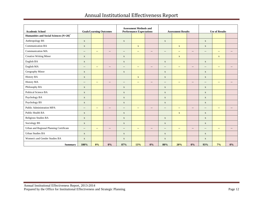| <b>Academic School</b>                  | <b>Goals/Learning Outcomes</b> |                           | <b>Assessment Methods and</b><br><b>Performance Expectations</b> |                          |                           | <b>Assessment Results</b> |                                                     |                            | <b>Use of Results</b>    |                          |                           |                          |
|-----------------------------------------|--------------------------------|---------------------------|------------------------------------------------------------------|--------------------------|---------------------------|---------------------------|-----------------------------------------------------|----------------------------|--------------------------|--------------------------|---------------------------|--------------------------|
| Humanities and Social Sciences (N=20)*  |                                |                           |                                                                  |                          |                           |                           |                                                     |                            |                          |                          |                           |                          |
| Anthropology BS                         | $\mathbf X$                    |                           |                                                                  | $\mathbf X$              |                           |                           | $\mathbf X$                                         |                            |                          | $\mathbf X$              |                           |                          |
| <b>Communication BA</b>                 | $\mathbf X$                    |                           |                                                                  |                          | $\mathbf X$               |                           |                                                     | $\mathbf X$                |                          | $\mathbf X$              |                           |                          |
| <b>Communication MA</b>                 | $\overline{\phantom{a}}$       | $\mathbf{u}$              | $\overline{\phantom{a}}$                                         | $\overline{\phantom{a}}$ | $\overline{\phantom{a}}$  | $\overline{\phantom{a}}$  | $\overline{\phantom{a}}$                            | $\rightarrow$              | $\overline{\phantom{a}}$ | $\overline{\phantom{a}}$ | $\overline{\phantom{m}}$  | $\overline{\phantom{a}}$ |
| Creative Writing Minor                  | $\mathbf X$                    |                           |                                                                  | $\mathbf X$              |                           |                           |                                                     | $\mathbf X$                |                          |                          | $\mathbf X$               |                          |
| English BA                              | $\mathbf X$                    |                           |                                                                  | $\mathbf X$              |                           |                           | $\mathbf X$                                         |                            |                          | $\mathbf X$              |                           |                          |
| English MA                              | $\overline{\phantom{a}}$       | $\overline{\phantom{m}}$  | $\overline{\phantom{a}}$                                         | $\overline{\phantom{a}}$ | $\overline{\phantom{a}}$  | $\qquad \qquad -$         | $\overline{\phantom{a}}$                            | $\overline{\phantom{m}}$   | $\overline{\phantom{a}}$ | $\overline{\phantom{a}}$ | $\overline{\phantom{m}}$  | $\qquad \qquad -$        |
| Geography Minor                         | $\mathbf{X}$                   |                           |                                                                  | $\mathbf X$              |                           |                           | $\mathbf{X}$                                        |                            |                          | $\mathbf{X}$             |                           |                          |
| <b>History BA</b>                       | $\mathbf X$                    |                           |                                                                  |                          | $\mathbf X$               |                           | $\mathbf X$                                         |                            |                          | $\mathbf X$              |                           |                          |
| History MA                              | $\overline{\phantom{a}}$       | $\mathbb{L} \mathbb{L}$   | $\overline{\phantom{a}}$                                         | $\overline{\phantom{a}}$ | $\mathbb{H}^{\mathbb{Z}}$ | $\overline{\phantom{a}}$  | $\hspace{0.05cm} -\hspace{0.05cm} -\hspace{0.05cm}$ | $\rightarrow$              | $\overline{\phantom{a}}$ | $\overline{\phantom{a}}$ | $\mathbb{L} \mathbb{L}$   | $\overline{\phantom{a}}$ |
| Philosophy BA                           | $\mathbf X$                    |                           |                                                                  | $\mathbf X$              |                           |                           | $\mathbf X$                                         |                            |                          | $\mathbf X$              |                           |                          |
| Political Science BA                    | $\mathbf X$                    |                           |                                                                  | $\mathbf X$              |                           |                           | $\boldsymbol{\mathrm{X}}$                           |                            |                          | $\mathbf X$              |                           |                          |
| Psychology BA                           | $\mathbf X$                    |                           |                                                                  | $\mathbf X$              |                           |                           | $\mathbf X$                                         |                            |                          | $\mathbf X$              |                           |                          |
| Psychology BS                           | $\mathbf X$                    |                           |                                                                  | $\mathbf X$              |                           |                           | $\boldsymbol{\mathrm{X}}$                           |                            |                          | $\mathbf X$              |                           |                          |
| Public Administration MPA               | $\overline{\phantom{a}}$       | $\overline{\phantom{m}}$  | $\qquad \qquad -$                                                | $\overline{\phantom{a}}$ | $\mathbf{u}$              | $\qquad \qquad -$         | $\overline{\phantom{a}}$                            | $\sim$                     | $\overline{\phantom{a}}$ | $\overline{\phantom{a}}$ | $\qquad \qquad -$         | $-$                      |
| Public Health BA                        | $\mathbf X$                    |                           |                                                                  | $\mathbf X$              |                           |                           |                                                     | $\mathbf X$                |                          | $\mathbf X$              |                           |                          |
| Religious Studies BA                    | $\mathbf X$                    |                           |                                                                  | $\mathbf X$              |                           |                           | $\mathbf X$                                         |                            |                          | $\mathbf X$              |                           |                          |
| Sociology BS                            | $\mathbf X$                    |                           |                                                                  | $\mathbf X$              |                           |                           | $\mathbf X$                                         |                            |                          | $\mathbf X$              |                           |                          |
| Urban and Regional Planning Certificate | $\overline{\phantom{a}}$       | $\mathbb{Z}^{\mathbb{Z}}$ | $\overline{\phantom{a}}$                                         | $\overline{\phantom{a}}$ | $\mathbb{L}^{\mathbb{L}}$ | $\overline{\phantom{a}}$  | $\overline{\phantom{a}}$                            | $\mathcal{L}(\mathcal{L})$ | $\overline{\phantom{a}}$ | $\overline{\phantom{a}}$ | $\mathbb{L}^{\mathbb{L}}$ | $\overline{\phantom{a}}$ |
| <b>Urban Studies BA</b>                 | $\mathbf X$                    |                           |                                                                  | $\mathbf X$              |                           |                           | $\mathbf X$                                         |                            |                          | $\mathbf X$              |                           |                          |
| Women's and Gender Studies BA           | $\mathbf X$                    |                           |                                                                  | $\mathbf X$              |                           |                           | $\mathbf X$                                         |                            |                          | $\mathbf X$              |                           |                          |
| <b>Summary</b>                          | 100%                           | 0%                        | $0\%$                                                            | 87%                      | 13%                       | 0%                        | 80%                                                 | 20%                        | 0%                       | 93%                      | 7%                        | $0\%$                    |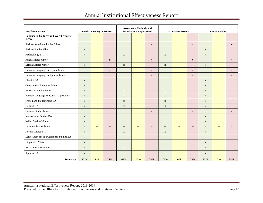| <b>Academic School</b>                                   | <b>Goals/Learning Outcomes</b> |                          | <b>Assessment Methods and</b><br><b>Performance Expectations</b> |                          |                          |                          | <b>Assessment Results</b> |               | <b>Use of Results</b>    |                          |                         |                   |
|----------------------------------------------------------|--------------------------------|--------------------------|------------------------------------------------------------------|--------------------------|--------------------------|--------------------------|---------------------------|---------------|--------------------------|--------------------------|-------------------------|-------------------|
| <b>Languages, Cultures and World Affairs</b><br>$(N=22)$ |                                |                          |                                                                  |                          |                          |                          |                           |               |                          |                          |                         |                   |
| African American Studies Minor                           |                                |                          | $\mathbf X$                                                      |                          |                          | $\mathbf X$              |                           |               | $\mathbf X$              |                          |                         | $\mathbf X$       |
| <b>African Studies Minor</b>                             | $\mathbf X$                    |                          |                                                                  | $\mathbf X$              |                          |                          | $\mathbf X$               |               |                          | $\mathbf X$              |                         |                   |
| Archaeology BA                                           | $\mathbf X$                    |                          |                                                                  | $\mathbf X$              |                          |                          | $\mathbf X$               |               |                          | $\mathbf X$              |                         |                   |
| <b>Asian Studies Minor</b>                               |                                |                          | $\mathbf X$                                                      |                          |                          | $\mathbf X$              |                           |               | $\mathbf X$              |                          |                         | $\mathbf X$       |
| <b>British Studies Minor</b>                             | $\mathbf X$                    |                          |                                                                  | $\mathbf X$              |                          |                          | $\mathbf X$               |               |                          | $\mathbf X$              |                         |                   |
| Business Language in French Minor                        |                                |                          | $\mathbf X$                                                      |                          |                          | $\mathbf X$              |                           |               | $\mathbf X$              |                          |                         | $\mathbf{x}$      |
| Business Language in Spanish Minor                       |                                |                          | $\mathbf X$                                                      |                          |                          | $\mathbf X$              |                           |               | $\mathbf X$              |                          |                         | $\mathbf X$       |
| Classics BA                                              | $\mathbf X$                    |                          |                                                                  | $\mathbf X$              |                          |                          | $\mathbf X$               |               |                          | $\mathbf X$              |                         |                   |
| Comparative Literature Minor                             | $\mathbf X$                    |                          |                                                                  |                          | $\mathbf X$              |                          | $\mathbf X$               |               |                          | $\mathbf X$              |                         |                   |
| European Studies Minor                                   | $\mathbf X$                    |                          |                                                                  | $\mathbf X$              |                          |                          | $\mathbf X$               |               |                          | $\mathbf X$              |                         |                   |
| Foreign Language Education Cognate BS                    | $\mathbf X$                    |                          |                                                                  | $\mathbf X$              |                          |                          | $\mathbf X$               |               |                          | $\mathbf X$              |                         |                   |
| French and Francophone BA                                | $\mathbf X$                    |                          |                                                                  | $\mathbf X$              |                          |                          | $\mathbf X$               |               |                          | $\mathbf X$              |                         |                   |
| German BA                                                | $\mathbf X$                    |                          |                                                                  | $\mathbf X$              |                          |                          | $\mathbf X$               |               |                          | $\mathbf X$              |                         |                   |
| German Studies Minor                                     |                                |                          | $\mathbf X$                                                      |                          |                          | $\mathbf X$              |                           |               | $\mathbf X$              |                          |                         | $\mathbf X$       |
| <b>International Studies BA</b>                          | $\mathbf X$                    |                          |                                                                  | $\mathbf X$              |                          |                          | $\mathbf X$               |               |                          | $\mathbf X$              |                         |                   |
| <b>Italian Studies Minor</b>                             | $\mathbf X$                    |                          |                                                                  |                          | $\mathbf X$              |                          | $\mathbf X$               |               |                          | $\mathbf X$              |                         |                   |
| Japanese Studies Minor                                   | $\overline{\phantom{a}}$       | $\overline{\phantom{a}}$ | $\overline{\phantom{a}}$                                         | $\overline{\phantom{a}}$ | $\overline{\phantom{a}}$ | $\overline{\phantom{a}}$ | $\overline{\phantom{a}}$  | $\rightarrow$ | $\overline{\phantom{a}}$ | $\overline{\phantom{a}}$ | $\qquad \qquad -$       | $\qquad \qquad -$ |
| Jewish Studies BA                                        | $\mathbf X$                    |                          |                                                                  | $\mathbf X$              |                          |                          | $\mathbf X$               |               |                          | $\mathbf X$              |                         |                   |
| Latin American and Caribbean Studies BA                  | $\overline{\phantom{a}}$       | $\mathbb{L} \mathbb{L}$  | $\overline{\phantom{a}}$                                         | $\overline{\phantom{a}}$ | $\sim$                   | $\overline{\phantom{a}}$ | $\overline{\phantom{a}}$  | $\sim$ $\sim$ | $-$                      | $\overline{a}$           | $\mathbb{L} \mathbb{L}$ | $\sim$            |
| <b>Linguistics Minor</b>                                 | $\mathbf{X}$                   |                          |                                                                  | $\mathbf X$              |                          |                          | $\mathbf{X}$              |               |                          | $\mathbf X$              |                         |                   |
| <b>Russian Studies Minor</b>                             | $\mathbf X$                    |                          |                                                                  | $\mathbf X$              |                          |                          | $\mathbf X$               |               |                          | $\mathbf X$              |                         |                   |
| Spanish BA                                               | $\mathbf X$                    |                          |                                                                  | $\mathbf X$              |                          |                          | $\mathbf X$               |               |                          | $\mathbf X$              |                         |                   |
| <b>Summary</b>                                           | 75%                            | 0%                       | 25%                                                              | 65%                      | 10%                      | 25%                      | 75%                       | 0%            | 25%                      | 75%                      | 0%                      | 25%               |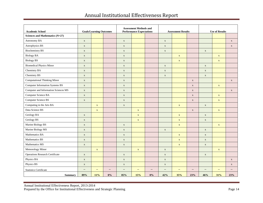| <b>Academic School</b>                 | <b>Goals/Learning Outcomes</b> |                          | <b>Assessment Methods and</b><br><b>Performance Expectations</b> |                          |             |                          | <b>Assessment Results</b> |             | <b>Use of Results</b> |             |             |             |
|----------------------------------------|--------------------------------|--------------------------|------------------------------------------------------------------|--------------------------|-------------|--------------------------|---------------------------|-------------|-----------------------|-------------|-------------|-------------|
| Sciences and Mathematics (N=27)        |                                |                          |                                                                  |                          |             |                          |                           |             |                       |             |             |             |
| Astronomy BA                           | $\mathbf X$                    |                          |                                                                  | $\mathbf X$              |             |                          | $\mathbf X$               |             |                       |             |             | $\mathbf X$ |
| Astrophysics BS                        | $\mathbf X$                    |                          |                                                                  | $\mathbf X$              |             |                          | $\mathbf X$               |             |                       |             |             | $\mathbf X$ |
| <b>Biochemistry BS</b>                 | $\mathbf X$                    |                          |                                                                  | $\mathbf X$              |             |                          | $\mathbf X$               |             |                       | $\mathbf X$ |             |             |
| <b>Biology BA</b>                      | $\mathbf X$                    |                          |                                                                  | $\mathbf X$              |             |                          |                           | $\mathbf X$ |                       |             | $\mathbf X$ |             |
| <b>Biology BS</b>                      | $\mathbf X$                    |                          |                                                                  | $\mathbf X$              |             |                          |                           | $\mathbf X$ |                       |             | $\mathbf X$ |             |
| <b>Biomedical Physics Minor</b>        | $\mathbf X$                    |                          |                                                                  | $\mathbf X$              |             |                          | $\mathbf X$               |             |                       | $\mathbf X$ |             |             |
| Chemistry BA                           | $\mathbf X$                    |                          |                                                                  | $\mathbf X$              |             |                          | $\mathbf X$               |             |                       | $\mathbf X$ |             |             |
| Chemistry BS                           | $\mathbf X$                    |                          |                                                                  | $\mathbf X$              |             |                          | $\mathbf X$               |             |                       | $\mathbf X$ |             |             |
| <b>Computational Thinking Minor</b>    | $\mathbf X$                    |                          |                                                                  | $\mathbf X$              |             |                          |                           |             | $\mathbf X$           |             |             | $\mathbf X$ |
| <b>Computer Information Systems BS</b> | $\mathbf X$                    |                          |                                                                  | $\mathbf X$              |             |                          |                           |             | $\mathbf X$           |             | $\mathbf x$ |             |
| Computer and Information Sciences MS   | $\mathbf X$                    |                          |                                                                  | $\mathbf X$              |             |                          |                           |             | $\mathbf X$           |             |             | $\mathbf X$ |
| Computer Science BA                    | $\mathbf X$                    |                          |                                                                  | $\mathbf X$              |             |                          |                           |             | $\mathbf X$           |             | $\mathbf X$ |             |
| Computer Science BS                    | $\mathbf X$                    |                          |                                                                  | $\mathbf X$              |             |                          |                           |             | $\mathbf X$           |             | $\mathbf X$ |             |
| Computing in the Arts BA               |                                | $\mathbf X$              |                                                                  | $\mathbf X$              |             |                          |                           | $\mathbf X$ |                       | $\mathbf X$ |             |             |
| Data Science BS                        |                                | $\mathbf X$              |                                                                  |                          | $\mathbf X$ |                          |                           |             | $\mathbf X$           |             | $\mathbf X$ |             |
| Geology BA                             | $\mathbf X$                    |                          |                                                                  |                          | $\mathbf X$ |                          |                           | $\mathbf X$ |                       | $\mathbf X$ |             |             |
| Geology BS                             | $\mathbf X$                    |                          |                                                                  |                          | $\mathbf x$ |                          |                           | $\mathbf X$ |                       | $\mathbf X$ |             |             |
| Marine Biology BS                      | $\mathbf X$                    |                          |                                                                  | $\mathbf X$              |             |                          |                           | $\mathbf X$ |                       |             | $\mathbf x$ |             |
| Marine Biology MS                      | $\mathbf X$                    |                          |                                                                  | $\mathbf X$              |             |                          | $\mathbf X$               |             |                       | $\mathbf X$ |             |             |
| Mathematics BA                         | $\mathbf X$                    |                          |                                                                  | $\mathbf X$              |             |                          |                           | $\mathbf X$ |                       | $\mathbf X$ |             |             |
| Mathematics BS                         | $\mathbf X$                    |                          |                                                                  | $\mathbf X$              |             |                          |                           | $\mathbf X$ |                       | $\mathbf X$ |             |             |
| Mathematics MS                         | $\mathbf X$                    |                          |                                                                  | $\mathbf X$              |             |                          |                           | $\mathbf X$ |                       | $\mathbf X$ |             |             |
| Meteorology Minor                      |                                | $\mathbf X$              |                                                                  |                          | $\mathbf X$ |                          | $\mathbf X$               |             |                       |             | $\mathbf X$ |             |
| <b>Operations Research Certificate</b> | $\mathbf X$                    |                          |                                                                  | $\mathbf X$              |             |                          | $\mathbf X$               |             |                       | $\mathbf X$ |             |             |
| Physics BA                             | $\mathbf X$                    |                          |                                                                  | $\mathbf X$              |             |                          | $\mathbf X$               |             |                       |             |             | $\mathbf X$ |
| Physics BS                             | $\mathbf X$                    |                          |                                                                  | $\mathbf X$              |             |                          | $\mathbf X$               |             |                       |             |             | $\mathbf X$ |
| <b>Statistics Certificate</b>          | $\overline{\phantom{a}}$       | $\overline{\phantom{a}}$ | --                                                               | $\overline{\phantom{a}}$ | $\sim$      | $\overline{\phantom{a}}$ | $\overline{a}$            | $-$         | $-$                   | --          | ۰.          | $\sim$      |
| <b>Summary</b>                         | 89%                            | 11%                      | $0\%$                                                            | 85%                      | 15%         | $0\%$                    | 42%                       | 35%         | 23%                   | 46%         | 31%         | 23%         |